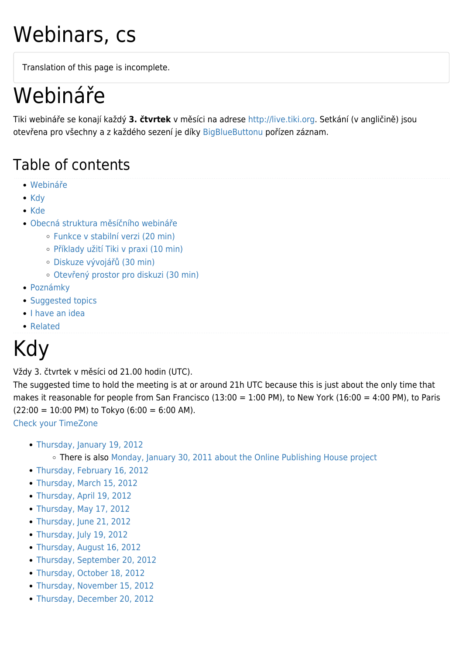## Webinars, cs

Translation of this page is incomplete.

## Webináře

Tiki webináře se konají každý **3. čtvrtek** v měsíci na adrese [http://live.tiki.org.](http://live.tiki.org) Setkání (v angličině) jsou otevřena pro všechny a z každého sezení je díky [BigBlueButtonu](https://tiki.org/BigBlueButton) pořízen záznam.

#### Table of contents

- [Webináře](#page--1-0)
- [Kdy](#page--1-0)
- [Kde](#page--1-0)
- [Obecná struktura měsíčního webináře](#page--1-0)
	- [Funkce v stabilní verzi \(20 min\)](#page--1-0)
	- [Příklady užití Tiki v praxi \(10 min\)](#page--1-0)
	- [Diskuze vývojářů \(30 min\)](#page--1-0)
	- [Otevřený prostor pro diskuzi \(30 min\)](#page--1-0)
- [Poznámky](#page--1-0)
- [Suggested topics](#page--1-0)
- [I have an idea](#page--1-0)
- [Related](#page--1-0)

## Kdy

Vždy 3. čtvrtek v měsíci od 21.00 hodin (UTC).

The suggested time to hold the meeting is at or around 21h UTC because this is just about the only time that makes it reasonable for people from San Francisco (13:00 = 1:00 PM), to New York (16:00 = 4:00 PM), to Paris  $(22:00 = 10:00 \text{ PM})$  to Tokyo  $(6:00 = 6:00 \text{ AM})$ .

[Check your TimeZone](http://www.timeanddate.com/worldclock/fixedtime.html?hour=21&min=0&sec=0)

- [Thursday, January 19, 2012](https://tiki.org/Webinar-2012-01)
	- There is also [Monday, January 30, 2011 about the Online Publishing House project](http://dev.tiki.org/Online%20Publishing%20House%20-%20January%202012%20Web%20conference)
- [Thursday, February 16, 2012](https://tiki.org/Webinar-2012-02)
- [Thursday, March 15, 2012](https://tiki.org/Webinar-2012-03)
- [Thursday, April 19, 2012](https://tiki.org/Webinar-2012-04)
- [Thursday, May 17, 2012](https://tiki.org/Webinar-2012-05)
- [Thursday, June 21, 2012](https://tiki.org/Webinar-2012-06)
- [Thursday, July 19, 2012](https://tiki.org/Webinar-2012-07)
- [Thursday, August 16, 2012](https://tiki.org/Webinar-2012-08)
- [Thursday, September 20, 2012](https://tiki.org/Webinar-2012-09)
- [Thursday, October 18, 2012](https://tiki.org/Webinar-2012-10)
- [Thursday, November 15, 2012](https://tiki.org/Webinar-2012-11)
- [Thursday, December 20, 2012](https://tiki.org/Webinar-2012-12)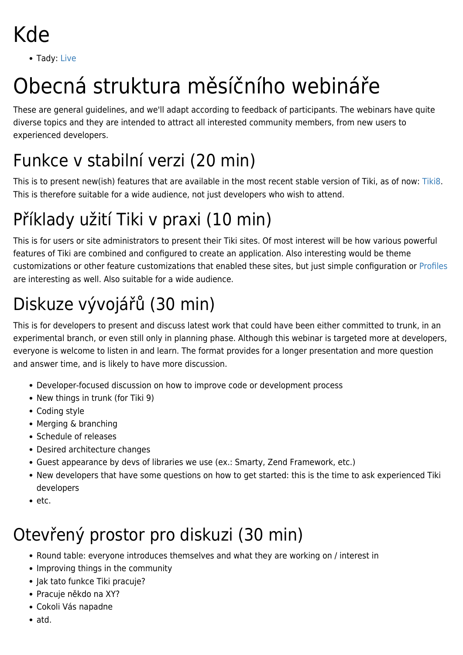- Kde
	- Tady: [Live](https://tiki.org/Live)

# Obecná struktura měsíčního webináře

These are general guidelines, and we'll adapt according to feedback of participants. The webinars have quite diverse topics and they are intended to attract all interested community members, from new users to experienced developers.

#### Funkce v stabilní verzi (20 min)

This is to present new(ish) features that are available in the most recent stable version of Tiki, as of now: [Tiki8.](http://doc.tiki.org/Tiki8) This is therefore suitable for a wide audience, not just developers who wish to attend.

### Příklady užití Tiki v praxi (10 min)

This is for users or site administrators to present their Tiki sites. Of most interest will be how various powerful features of Tiki are combined and configured to create an application. Also interesting would be theme customizations or other feature customizations that enabled these sites, but just simple configuration or [Profiles](http://profiles.tiki.org) are interesting as well. Also suitable for a wide audience.

## Diskuze vývojářů (30 min)

This is for developers to present and discuss latest work that could have been either committed to trunk, in an experimental branch, or even still only in planning phase. Although this webinar is targeted more at developers, everyone is welcome to listen in and learn. The format provides for a longer presentation and more question and answer time, and is likely to have more discussion.

- Developer-focused discussion on how to improve code or development process
- New things in trunk (for Tiki 9)
- Coding style
- Merging & branching
- Schedule of releases
- Desired architecture changes
- Guest appearance by devs of libraries we use (ex.: Smarty, Zend Framework, etc.)
- New developers that have some questions on how to get started: this is the time to ask experienced Tiki developers
- $e$  etc.

### Otevřený prostor pro diskuzi (30 min)

- Round table: everyone introduces themselves and what they are working on / interest in
- Improving things in the community
- Jak tato funkce Tiki pracuje?
- Pracuje někdo na XY?
- Cokoli Vás napadne
- atd.